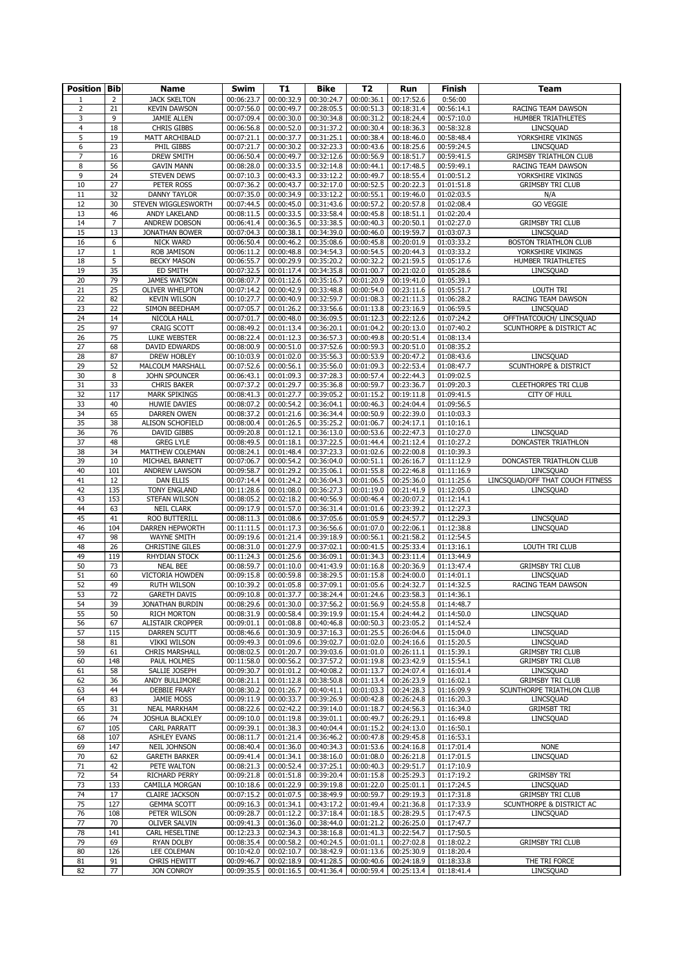| <b>Position Bib</b> |                | <b>Name</b>                                    | Swim                     | <b>T1</b>                | <b>Bike</b>              | T <sub>2</sub>           | Run                      | Finish                   | <b>Team</b>                      |
|---------------------|----------------|------------------------------------------------|--------------------------|--------------------------|--------------------------|--------------------------|--------------------------|--------------------------|----------------------------------|
| $\mathbf{1}$        | $\overline{2}$ | <b>JACK SKELTON</b>                            | 00:06:23.7               | 00:00:32.9               | 00:30:24.7               | 00:00:36.1               | 00:17:52.6               | 0:56:00                  |                                  |
| 2                   | 21             | <b>KEVIN DAWSON</b>                            | 00:07:56.0               | 00:00:49.7               | 00:28:05.5               | 00:00:51.3               | 00:18:31.4               | 00:56:14.1               | RACING TEAM DAWSON               |
| 3                   | 9              | <b>JAMIE ALLEN</b>                             | 00:07:09.4               | 00:00:30.0               | 00:30:34.8               | 00:00:31.2               | 00:18:24.4               | 00:57:10.0               | HUMBER TRIATHLETES               |
| 4                   | 18             | <b>CHRIS GIBBS</b>                             | 00:06:56.8               | 00:00:52.0               | 00:31:37.2               | 00:00:30.4               | 00:18:36.3               | 00:58:32.8               | LINCSQUAD                        |
| 5                   | 19             | MATT ARCHIBALD                                 | 00:07:21.1               | 00:00:37.7               | 00:31:25.1               | 00:00:38.4               | 00:18:46.0               | 00:58:48.4               | YORKSHIRE VIKINGS                |
| 6                   | 23             | PHIL GIBBS                                     | 00:07:21.7               | 00:00:30.2               | 00:32:23.3               | 00:00:43.6               | 00:18:25.6               | 00:59:24.5               | LINCSQUAD                        |
| 7                   | 16             | <b>DREW SMITH</b>                              | 00:06:50.4               | 00:00:49.7               | 00:32:12.6               | 00:00:56.9               | 00:18:51.7               | 00:59:41.5               | <b>GRIMSBY TRIATHLON CLUB</b>    |
| 8                   | 56             | <b>GAVIN MANN</b>                              | 00:08:28.0               | $\overline{00}$ :00:33.5 | 00:32:14.8               | 00:00:44.1               | 00:17:48.5               | 00:59:49.1               | RACING TEAM DAWSON               |
| 9                   | 24             | <b>STEVEN DEWS</b>                             | 00:07:10.3               | 00:00:43.3               | 00:33:12.2               | 00:00:49.7               | 00:18:55.4               | 01:00:51.2               | YORKSHIRE VIKINGS                |
| 10                  | 27             | PETER ROSS                                     | 00:07:36.2               | 00:00:43.7               | 00:32:17.0               | 00:00:52.5               | 00:20:22.3               | 01:01:51.8               | <b>GRIMSBY TRI CLUB</b>          |
| 11                  | 32             | <b>DANNY TAYLOR</b>                            | 00:07:35.0               | 00:00:34.9               | 00:33:12.2               | 00:00:55.1               | 00:19:46.0               | 01:02:03.5               | N/A                              |
| 12                  | 30<br>46       | STEVEN WIGGLESWORTH                            | 00:07:44.5               | 00:00:45.0<br>00:00:33.5 | 00:31:43.6               | 00:00:57.2<br>00:00:45.8 | 00:20:57.8<br>00:18:51.1 | 01:02:08.4               | <b>GO VEGGIE</b>                 |
| 13<br>14            | $\overline{7}$ | ANDY LAKELAND<br>ANDREW DOBSON                 | 00:08:11.5<br>00:06:41.4 | 00:00:36.5               | 00:33:58.4<br>00:33:38.5 | 00:00:40.3               | 00:20:50.1               | 01:02:20.4<br>01:02:27.0 | <b>GRIMSBY TRI CLUB</b>          |
| 15                  | 13             | <b>JONATHAN BOWER</b>                          | 00:07:04.3               | 00:00:38.1               | 00:34:39.0               | 00:00:46.0               | 00:19:59.7               | 01:03:07.3               | LINCSQUAD                        |
| 16                  | 6              | NICK WARD                                      | 00:06:50.4               | 00:00:46.2               | 00:35:08.6               | 00:00:45.8               | 00:20:01.9               | 01:03:33.2               | <b>BOSTON TRIATHLON CLUB</b>     |
| 17                  | $\,1\,$        | <b>ROB JAMISON</b>                             | 00:06:11.2               | 00:00:48.8               | 00:34:54.3               | 00:00:54.5               | 00:20:44.3               | 01:03:33.2               | YORKSHIRE VIKINGS                |
| 18                  | 5              | <b>BECKY MASON</b>                             | 00:06:55.7               | 00:00:29.9               | 00:35:20.2               | 00:00:32.2               | 00:21:59.5               | 01:05:17.6               | HUMBER TRIATHLETES               |
| 19                  | 35             | ED SMITH                                       | 00:07:32.5               | 00:01:17.4               | 00:34:35.8               | 00:01:00.7               | 00:21:02.0               | 01:05:28.6               | LINCSQUAD                        |
| 20                  | 79             | <b>JAMES WATSON</b>                            | 00:08:07.7               | 00:01:12.6               | 00:35:16.7               | 00:01:20.9               | 00:19:41.0               | 01:05:39.1               |                                  |
| 21                  | 25             | <b>OLIVER WHELPTON</b>                         | 00:07:14.2               | 00:00:42.9               | 00:33:48.8               | 00:00:54.0               | 00:23:11.6               | 01:05:51.7               | LOUTH TRI                        |
| 22                  | 82             | <b>KEVIN WILSON</b>                            | 00:10:27.7               | 00:00:40.9               | 00:32:59.7               | 00:01:08.3               | 00:21:11.3               | 01:06:28.2               | RACING TEAM DAWSON               |
| 23                  | 22             | SIMON BEEDHAM                                  | 00:07:05.7               | 00:01:26.2               | 00:33:56.6               | 00:01:13.8               | 00:23:16.9               | 01:06:59.5               | LINCSQUAD                        |
| 24                  | 14             | NICOLA HALL                                    | 00:07:01.7               | 00:00:48.0               | 00:36:09.5               | 00:01:12.3               | 00:22:12.6               | $\overline{0}$ 1:07:24.2 | OFFTHATCOUCH/ LINCSQUAD          |
| 25                  | 97             | <b>CRAIG SCOTT</b>                             | 00:08:49.2               | 00:01:13.4               | 00:36:20.1               | 00:01:04.2               | 00:20:13.0               | 01:07:40.2               | SCUNTHORPE & DISTRICT AC         |
| 26                  | 75             | LUKE WEBSTER                                   | 00:08:22.4               | 00:01:12.3               | 00:36:57.3               | 00:00:49.8               | 00:20:51.4               | 01:08:13.4               |                                  |
| 27                  | 68             | <b>DAVID EDWARDS</b>                           | 00:08:00.9<br>00:10:03.9 | 00:00:51.0               | 00:37:52.6               | 00:00:59.3               | 00:20:51.0               | 01:08:35.2               |                                  |
| 28<br>29            | 87<br>52       | <b>DREW HOBLEY</b>                             |                          | 00:01:02.0               | 00:35:56.3<br>00:35:56.0 | 00:00:53.9               | 00:20:47.2<br>00:22:53.4 | 01:08:43.6<br>01:08:47.7 | LINCSQUAD                        |
| 30                  | 8              | MALCOLM MARSHALL<br>JOHN SPOUNCER              | 00:07:52.6<br>00:06:43.1 | 00:00:56.1<br>00:01:09.3 | 00:37:28.3               | 00:01:09.3<br>00:00:57.4 | 00:22:44.3               | 01:09:02.5               | SCUNTHORPE & DISTRICT            |
| 31                  | 33             | <b>CHRIS BAKER</b>                             | 00:07:37.2               | 00:01:29.7               | 00:35:36.8               | 00:00:59.7               | 00:23:36.7               | 01:09:20.3               | <b>CLEETHORPES TRI CLUB</b>      |
| 32                  | 117            | <b>MARK SPIKINGS</b>                           | 00:08:41.3               | 00:01:27.7               | 00:39:05.2               | 00:01:15.2               | 00:19:11.8               | 01:09:41.5               | <b>CITY OF HULL</b>              |
| 33                  | 40             | <b>HUWIE DAVIES</b>                            | 00:08:07.2               | 00:00:54.2               | 00:36:04.1               | 00:00:46.3               | 00:24:04.4               | 01:09:56.5               |                                  |
| 34                  | 65             | <b>DARREN OWEN</b>                             | 00:08:37.2               | 00:01:21.6               | 00:36:34.4               | 00:00:50.9               | 00:22:39.0               | 01:10:03.3               |                                  |
| 35                  | 38             | ALISON SCHOFIELD                               | 00:08:00.4               | 00:01:26.5               | 00:35:25.2               | 00:01:06.7               | 00:24:17.1               | 01:10:16.1               |                                  |
| 36                  | 76             | <b>DAVID GIBBS</b>                             | 00:09:20.8               | 00:01:12.1               | 00:36:13.0               | 00:00:53.6               | 00:22:47.3               | 01:10:27.0               | LINCSQUAD                        |
| 37                  | 48             | <b>GREG LYLE</b>                               | 00:08:49.5               | 00:01:18.1               | 00:37:22.5               | 00:01:44.4               | 00:21:12.4               | 01:10:27.2               | DONCASTER TRIATHLON              |
| 38                  | 34             | MATTHEW COLEMAN                                | 00:08:24.1               | 00:01:48.4               | 00:37:23.3               | 00:01:02.6               | 00:22:00.8               | 01:10:39.3               |                                  |
| 39                  | 10             | MICHAEL BARNETT                                | 00:07:06.7               | 00:00:54.2               | 00:36:04.0               | 00:00:51.1               | 00:26:16.7               | 01:11:12.9               | DONCASTER TRIATHLON CLUB         |
| 40                  | 101            | <b>ANDREW LAWSON</b>                           | 00:09:58.7               | 00:01:29.2               | 00:35:06.1               | 00:01:55.8               | 00:22:46.8               | 01:11:16.9               | LINCSQUAD                        |
| 41                  | 12             | <b>DAN ELLIS</b>                               | 00:07:14.4               | 00:01:24.2               | 00:36:04.3               | 00:01:06.5               | 00:25:36.0               | 01:11:25.6               | LINCSQUAD/OFF THAT COUCH FITNESS |
| 42                  | 135            | <b>TONY ENGLAND</b>                            | 00:11:28.6               | 00:01:08.0               | 00:36:27.3               | 00:01:19.0               | 00:21:41.9               | 01:12:05.0               | LINCSQUAD                        |
| 43                  | 153            | STEFAN WILSON                                  | 00:08:05.2               | 00:02:18.2               | 00:40:56.9               | 00:00:46.4               | 00:20:07.2               | 01:12:14.1               |                                  |
| 44                  | 63             | <b>NEIL CLARK</b>                              | 00:09:17.9               | 00:01:57.0               | 00:36:31.4               | 00:01:01.6               | 00:23:39.2               | 01:12:27.3               |                                  |
| 45                  | 41             | ROO BUTTERILL                                  | 00:08:11.3               | 00:01:08.6               | 00:37:05.6               | 00:01:05.9               | 00:24:57.7               | 01:12:29.3               | LINCSQUAD                        |
| 46                  | 104            | DARREN HEPWORTH                                | 00:11:11.5               | 00:01:17.3               | 00:36:56.6               | 00:01:07.0               | 00:22:06.1               | 01:12:38.8               | LINCSQUAD                        |
| 47                  | 98             | WAYNE SMITH                                    | 00:09:19.6               | 00:01:21.4               | 00:39:18.9               | 00:00:56.1               | 00:21:58.2               | 01:12:54.5               |                                  |
| 48                  | 26<br>119      | <b>CHRISTINE GILES</b><br><b>RHYDIAN STOCK</b> | 00:08:31.0               | 00:01:27.9               | 00:37:02.1               | 00:00:41.5               | 00:25:33.4               | 01:13:16.1               | LOUTH TRI CLUB                   |
| 49<br>50            | 73             | <b>NEAL BEE</b>                                | 00:11:24.3<br>00:08:59.7 | 00:01:25.6<br>00:01:10.0 | 00:36:09.1<br>00:41:43.9 | 00:01:34.3<br>00:01:16.8 | 00:23:11.4<br>00:20:36.9 | 01:13:44.9<br>01:13:47.4 | <b>GRIMSBY TRI CLUB</b>          |
| 51                  | 60             | VICTORIA HOWDEN                                | 00:09:15.8               | 00:00:59.8               | 00:38:29.5               | 00:01:15.8               | 00:24:00.0               | 01:14:01.1               | LINCSQUAD                        |
| 52                  | 49             | <b>RUTH WILSON</b>                             | 00:10:39.2               | 00:01:05.8               | 00:37:09.1               | 00:01:05.6               | 00:24:32.7               | 01:14:32.5               | RACING TEAM DAWSON               |
| 53                  | 72             | <b>GARETH DAVIS</b>                            | 00:09:10.8               | 00:01:37.7               | 00:38:24.4               | 00:01:24.6               | 00:23:58.3               | 01:14:36.1               |                                  |
| 54                  | 39             | JONATHAN BURDIN                                | 00:08:29.6               | 00:01:30.0               | 00:37:56.2               | 00:01:56.9               | 00:24:55.8               | 01:14:48.7               |                                  |
| 55                  | 50             | <b>RICH MORTON</b>                             | 00:08:31.9               | 00:00:58.4               | 00:39:19.9               | 00:01:15.4               | 00:24:44.2               | 01:14:50.0               | LINCSQUAD                        |
| 56                  | 67             | ALISTAIR CROPPER                               | 00:09:01.1               | 00:01:08.8               | 00:40:46.8               | 00:00:50.3               | 00:23:05.2               | 01:14:52.4               |                                  |
| 57                  | 115            | <b>DARREN SCUTT</b>                            | 00:08:46.6               | 00:01:30.9               | 00:37:16.3               | 00:01:25.5               | 00:26:04.6               | 01:15:04.0               | LINCSQUAD                        |
| 58                  | 81             | <b>VIKKI WILSON</b>                            | 00:09:49.3               | 00:01:09.6               | 00:39:02.7               | 00:01:02.0               | 00:24:16.6               | 01:15:20.5               | LINCSQUAD                        |
| 59                  | 61             | <b>CHRIS MARSHALL</b>                          | 00:08:02.5               | 00:01:20.7               | 00:39:03.6               | 00:01:01.0               | 00:26:11.1               | 01:15:39.1               | <b>GRIMSBY TRI CLUB</b>          |
| 60                  | 148            | PAUL HOLMES                                    | 00:11:58.0               | 00:00:56.2               | 00:37:57.2               | 00:01:19.8               | 00:23:42.9               | 01:15:54.1               | <b>GRIMSBY TRI CLUB</b>          |
| 61                  | 58             | SALLIE JOSEPH                                  | 00:09:30.7               | 00:01:01.2               | 00:40:08.2               | 00:01:13.7               | 00:24:07.4               | 01:16:01.4               | LINCSQUAD                        |
| 62                  | 36             | ANDY BULLIMORE                                 | 00:08:21.1               | 00:01:12.8               | 00:38:50.8               | 00:01:13.4               | 00:26:23.9               | 01:16:02.1               | <b>GRIMSBY TRI CLUB</b>          |
| 63                  | 44             | <b>DEBBIE FRARY</b>                            | 00:08:30.2               | 00:01:26.7               | 00:40:41.1               | 00:01:03.3               | 00:24:28.3               | 01:16:09.9               | SCUNTHORPE TRIATHLON CLUB        |
| 64                  | 83             | JAMIE MOSS                                     | 00:09:11.9               | 00:00:33.7               | 00:39:26.9               | 00:00:42.8               | 00:26:24.8               | 01:16:20.3               | LINCSQUAD                        |
| 65                  | 31             | <b>NEAL MARKHAM</b>                            | 00:08:22.6               | 00:02:42.2               | 00:39:14.0               | 00:01:18.7               | 00:24:56.3               | 01:16:34.0               | <b>GRIMSBT TRI</b>               |
| 66<br>67            | 74<br>105      | <b>JOSHUA BLACKLEY</b><br><b>CARL PARRATT</b>  | 00:09:10.0<br>00:09:39.1 | 00:01:19.8<br>00:01:38.3 | 00:39:01.1<br>00:40:04.4 | 00:00:49.7<br>00:01:15.2 | 00:26:29.1<br>00:24:13.0 | 01:16:49.8<br>01:16:50.1 | LINCSQUAD                        |
| 68                  | 107            | <b>ASHLEY EVANS</b>                            | 00:08:11.7               | 00:01:21.4               | 00:36:46.2               | 00:00:47.8               | 00:29:45.8               | 01:16:53.1               |                                  |
| 69                  | 147            | NEIL JOHNSON                                   | 00:08:40.4               | 00:01:36.0               | 00:40:34.3               | 00:01:53.6               | 00:24:16.8               | 01:17:01.4               | <b>NONE</b>                      |
| 70                  | 62             | <b>GARETH BARKER</b>                           | 00:09:41.4               | 00:01:34.1               | 00:38:16.0               | 00:01:08.0               | 00:26:21.8               | 01:17:01.5               | LINCSQUAD                        |
| 71                  | 42             | PETE WALTON                                    | 00:08:21.3               | 00:00:52.4               | 00:37:25.1               | 00:00:40.3               | 00:29:51.7               | 01:17:10.9               |                                  |
| 72                  | 54             | RICHARD PERRY                                  | 00:09:21.8               | 00:01:51.8               | 00:39:20.4               | 00:01:15.8               | 00:25:29.3               | 01:17:19.2               | <b>GRIMSBY TRI</b>               |
| 73                  | 133            | CAMILLA MORGAN                                 | 00:10:18.6               | 00:01:22.9               | 00:39:19.8               | 00:01:22.0               | 00:25:01.1               | 01:17:24.5               | LINCSQUAD                        |
| 74                  | 17             | <b>CLAIRE JACKSON</b>                          | 00:07:15.2               | 00:01:07.5               | 00:38:49.9               | 00:00:59.7               | 00:29:19.3               | 01:17:31.8               | <b>GRIMSBY TRI CLUB</b>          |
| 75                  | 127            | <b>GEMMA SCOTT</b>                             | 00:09:16.3               | 00:01:34.1               | 00:43:17.2               | 00:01:49.4               | 00:21:36.8               | 01:17:33.9               | SCUNTHORPE & DISTRICT AC         |
| 76                  | 108            | PETER WILSON                                   | 00:09:28.7               | 00:01:12.2               | 00:37:18.4               | 00:01:18.5               | 00:28:29.5               | 01:17:47.5               | LINCSQUAD                        |
| 77                  | 70             | <b>OLIVER SALVIN</b>                           | 00:09:41.3               | 00:01:36.0               | 00:38:44.0               | 00:01:21.2               | 00:26:25.0               | 01:17:47.7               |                                  |
| 78                  | 141            | CARL HESELTINE                                 | 00:12:23.3               | 00:02:34.3               | 00:38:16.8               | 00:01:41.3               | 00:22:54.7               | 01:17:50.5               |                                  |
| 79                  | 69             | RYAN DOLBY                                     | 00:08:35.4               | 00:00:58.2               | 00:40:24.5               | 00:01:01.1               | 00:27:02.8               | 01:18:02.2               | <b>GRIMSBY TRI CLUB</b>          |
| 80                  | 126            | LEE COLEMAN                                    | 00:10:42.0               | 00:02:10.7               | 00:38:42.9               | 00:01:13.6               | 00:25:30.9               | 01:18:20.4               |                                  |
| 81                  | 91             | <b>CHRIS HEWITT</b>                            | 00:09:46.7               | 00:02:18.9               | 00:41:28.5               | 00:00:40.6               | 00:24:18.9               | 01:18:33.8               | THE TRI FORCE                    |
| 82                  | 77             | JON CONROY                                     | 00:09:35.5               | 00:01:16.5               | 00:41:36.4               | 00:00:59.4               | 00:25:13.4               | 01:18:41.4               | LINCSQUAD                        |